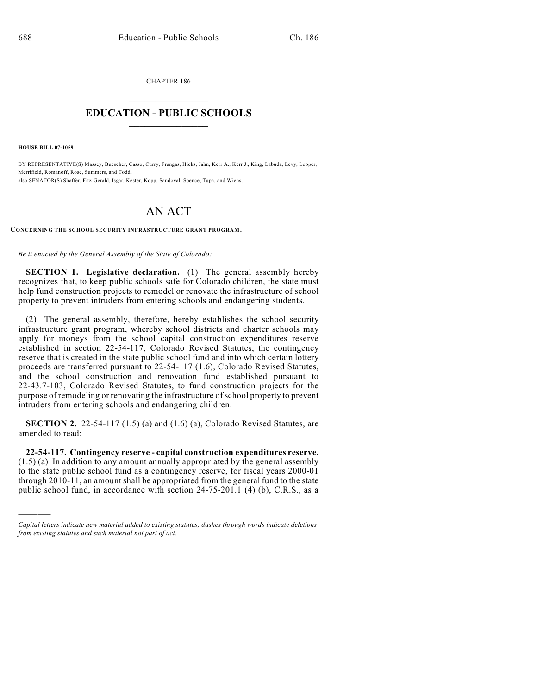CHAPTER 186  $\overline{\phantom{a}}$  . The set of the set of the set of the set of the set of the set of the set of the set of the set of the set of the set of the set of the set of the set of the set of the set of the set of the set of the set o

## **EDUCATION - PUBLIC SCHOOLS**  $\_$   $\_$   $\_$   $\_$   $\_$   $\_$   $\_$   $\_$   $\_$

**HOUSE BILL 07-1059**

)))))

BY REPRESENTATIVE(S) Massey, Buescher, Casso, Curry, Frangas, Hicks, Jahn, Kerr A., Kerr J., King, Labuda, Levy, Looper, Merrifield, Romanoff, Rose, Summers, and Todd; also SENATOR(S) Shaffer, Fitz-Gerald, Isgar, Kester, Kopp, Sandoval, Spence, Tupa, and Wiens.

## AN ACT

**CONCERNING THE SCHOOL SECURITY INFRASTRUCTURE GRANT PROGRAM.**

*Be it enacted by the General Assembly of the State of Colorado:*

**SECTION 1. Legislative declaration.** (1) The general assembly hereby recognizes that, to keep public schools safe for Colorado children, the state must help fund construction projects to remodel or renovate the infrastructure of school property to prevent intruders from entering schools and endangering students.

(2) The general assembly, therefore, hereby establishes the school security infrastructure grant program, whereby school districts and charter schools may apply for moneys from the school capital construction expenditures reserve established in section 22-54-117, Colorado Revised Statutes, the contingency reserve that is created in the state public school fund and into which certain lottery proceeds are transferred pursuant to 22-54-117 (1.6), Colorado Revised Statutes, and the school construction and renovation fund established pursuant to 22-43.7-103, Colorado Revised Statutes, to fund construction projects for the purpose of remodeling or renovating the infrastructure of school property to prevent intruders from entering schools and endangering children.

**SECTION 2.** 22-54-117 (1.5) (a) and (1.6) (a), Colorado Revised Statutes, are amended to read:

**22-54-117. Contingency reserve - capital construction expenditures reserve.** (1.5) (a) In addition to any amount annually appropriated by the general assembly to the state public school fund as a contingency reserve, for fiscal years 2000-01 through 2010-11, an amount shall be appropriated from the general fund to the state public school fund, in accordance with section 24-75-201.1 (4) (b), C.R.S., as a

*Capital letters indicate new material added to existing statutes; dashes through words indicate deletions from existing statutes and such material not part of act.*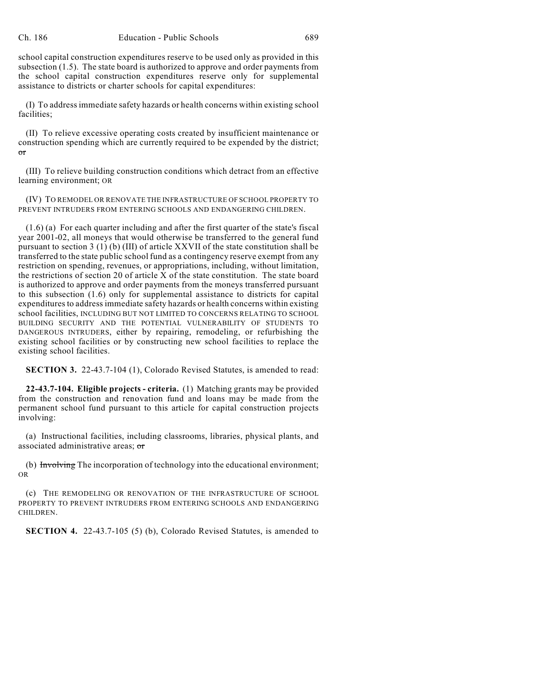school capital construction expenditures reserve to be used only as provided in this subsection (1.5). The state board is authorized to approve and order payments from the school capital construction expenditures reserve only for supplemental assistance to districts or charter schools for capital expenditures:

(I) To address immediate safety hazards or health concerns within existing school facilities;

(II) To relieve excessive operating costs created by insufficient maintenance or construction spending which are currently required to be expended by the district; or

(III) To relieve building construction conditions which detract from an effective learning environment; OR

(IV) TO REMODEL OR RENOVATE THE INFRASTRUCTURE OF SCHOOL PROPERTY TO PREVENT INTRUDERS FROM ENTERING SCHOOLS AND ENDANGERING CHILDREN.

(1.6) (a) For each quarter including and after the first quarter of the state's fiscal year 2001-02, all moneys that would otherwise be transferred to the general fund pursuant to section 3 (1) (b) (III) of article XXVII of the state constitution shall be transferred to the state public school fund as a contingency reserve exempt from any restriction on spending, revenues, or appropriations, including, without limitation, the restrictions of section 20 of article X of the state constitution. The state board is authorized to approve and order payments from the moneys transferred pursuant to this subsection (1.6) only for supplemental assistance to districts for capital expenditures to address immediate safety hazards or health concerns within existing school facilities, INCLUDING BUT NOT LIMITED TO CONCERNS RELATING TO SCHOOL BUILDING SECURITY AND THE POTENTIAL VULNERABILITY OF STUDENTS TO DANGEROUS INTRUDERS, either by repairing, remodeling, or refurbishing the existing school facilities or by constructing new school facilities to replace the existing school facilities.

**SECTION 3.** 22-43.7-104 (1), Colorado Revised Statutes, is amended to read:

**22-43.7-104. Eligible projects - criteria.** (1) Matching grants may be provided from the construction and renovation fund and loans may be made from the permanent school fund pursuant to this article for capital construction projects involving:

(a) Instructional facilities, including classrooms, libraries, physical plants, and associated administrative areas; or

(b) Involving The incorporation of technology into the educational environment; OR

(c) THE REMODELING OR RENOVATION OF THE INFRASTRUCTURE OF SCHOOL PROPERTY TO PREVENT INTRUDERS FROM ENTERING SCHOOLS AND ENDANGERING CHILDREN.

**SECTION 4.** 22-43.7-105 (5) (b), Colorado Revised Statutes, is amended to